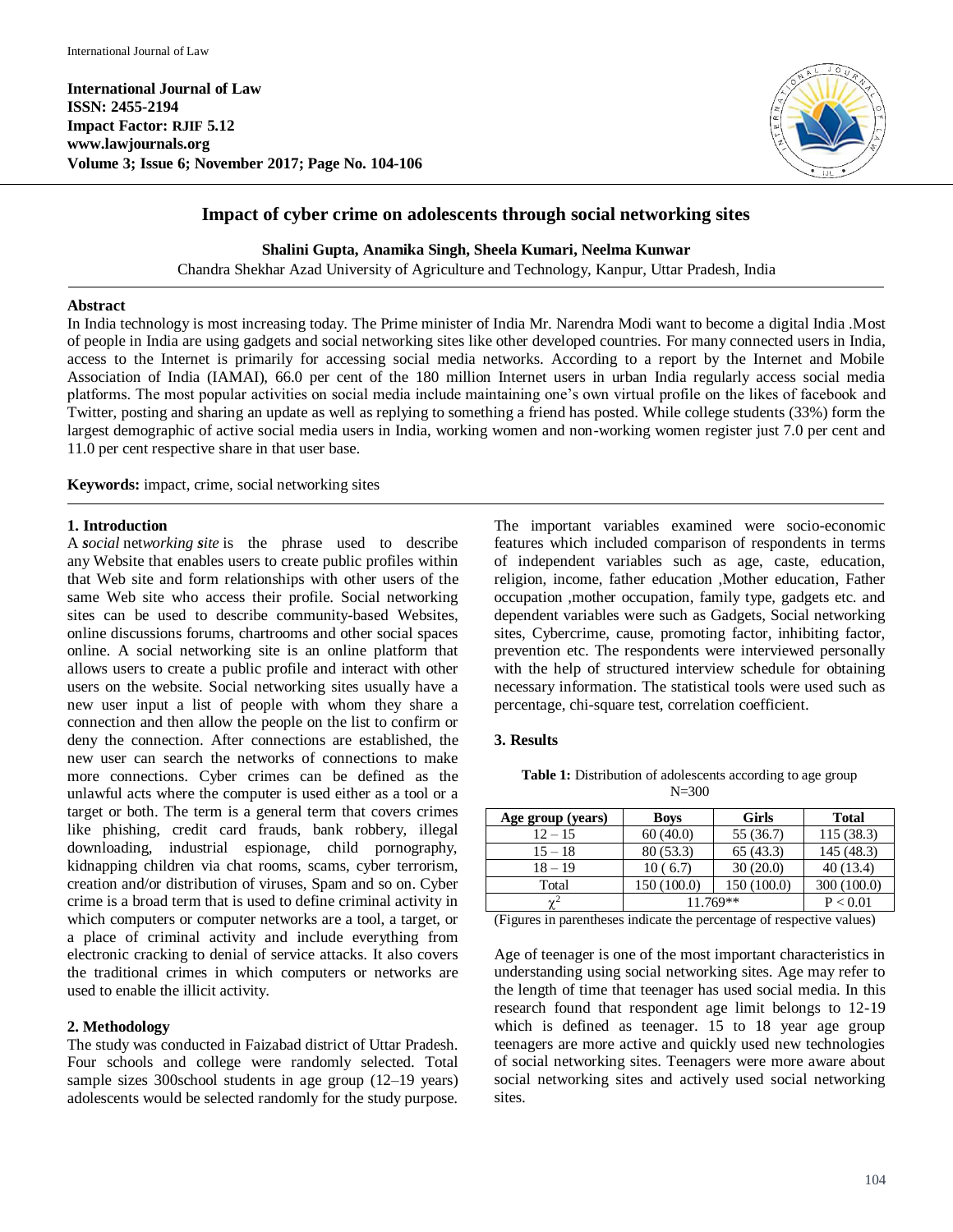**International Journal of Law ISSN: 2455-2194 Impact Factor: RJIF 5.12 www.lawjournals.org Volume 3; Issue 6; November 2017; Page No. 104-106**



# **Impact of cyber crime on adolescents through social networking sites**

**Shalini Gupta, Anamika Singh, Sheela Kumari, Neelma Kunwar**

Chandra Shekhar Azad University of Agriculture and Technology, Kanpur, Uttar Pradesh, India

## **Abstract**

In India technology is most increasing today. The Prime minister of India Mr. Narendra Modi want to become a digital India .Most of people in India are using gadgets and social networking sites like other developed countries. For many connected users in India, access to the Internet is primarily for accessing social media networks. According to a report by the Internet and Mobile Association of India (IAMAI), 66.0 per cent of the 180 million Internet users in urban India regularly access social media platforms. The most popular activities on social media include maintaining one's own virtual profile on the likes of facebook and Twitter, posting and sharing an update as well as replying to something a friend has posted. While college students (33%) form the largest demographic of active social media users in India, working women and non-working women register just 7.0 per cent and 11.0 per cent respective share in that user base.

**Keywords:** impact, crime, social networking sites

### **1. Introduction**

A *social* net*working site* is the phrase used to describe any Website that enables users to create public profiles within that Web site and form relationships with other users of the same Web site who access their profile. Social networking sites can be used to describe community-based Websites, online discussions forums, chartrooms and other social spaces online. A social networking site is an online platform that allows users to create a public profile and interact with other users on the website. Social networking sites usually have a new user input a list of people with whom they share a connection and then allow the people on the list to confirm or deny the connection. After connections are established, the new user can search the networks of connections to make more connections. Cyber crimes can be defined as the unlawful acts where the computer is used either as a tool or a target or both. The term is a general term that covers crimes like phishing, credit card frauds, bank robbery, illegal downloading, industrial espionage, child pornography, kidnapping children via chat rooms, scams, cyber terrorism, creation and/or distribution of viruses, Spam and so on. Cyber crime is a broad term that is used to define criminal activity in which computers or computer networks are a tool, a target, or a place of criminal activity and include everything from electronic cracking to denial of service attacks. It also covers the traditional crimes in which computers or networks are used to enable the illicit activity.

### **2. Methodology**

The study was conducted in Faizabad district of Uttar Pradesh. Four schools and college were randomly selected. Total sample sizes 300school students in age group (12–19 years) adolescents would be selected randomly for the study purpose.

The important variables examined were socio-economic features which included comparison of respondents in terms of independent variables such as age, caste, education, religion, income, father education ,Mother education, Father occupation ,mother occupation, family type, gadgets etc. and dependent variables were such as Gadgets, Social networking sites, Cybercrime, cause, promoting factor, inhibiting factor, prevention etc. The respondents were interviewed personally with the help of structured interview schedule for obtaining necessary information. The statistical tools were used such as percentage, chi-square test, correlation coefficient.

### **3. Results**

**Table 1:** Distribution of adolescents according to age group  $N = 300$ 

| Age group (years)    | <b>Boys</b> | <b>Girls</b>                                    | <b>Total</b> |  |
|----------------------|-------------|-------------------------------------------------|--------------|--|
| $12 - 15$            | 60(40.0)    | 55 (36.7)                                       | 115(38.3)    |  |
| $15 - 18$            | 80(53.3)    | 65(43.3)                                        | 145(48.3)    |  |
| $18 - 19$            | 10(6.7)     | 30(20.0)                                        | 40(13.4)     |  |
| Total                | 150 (100.0) | 150 (100.0)                                     | 300 (100.0)  |  |
| $\mathbf{v}^2$       | 11.769**    | P < 0.01                                        |              |  |
| $\sim$<br>$\cdot$ 1. | $\cdots$    | $\epsilon$<br><b>Contract Contract Contract</b> | $\cdot$ .    |  |

(Figures in parentheses indicate the percentage of respective values)

Age of teenager is one of the most important characteristics in understanding using social networking sites. Age may refer to the length of time that teenager has used social media. In this research found that respondent age limit belongs to 12-19 which is defined as teenager. 15 to 18 year age group teenagers are more active and quickly used new technologies of social networking sites. Teenagers were more aware about social networking sites and actively used social networking sites.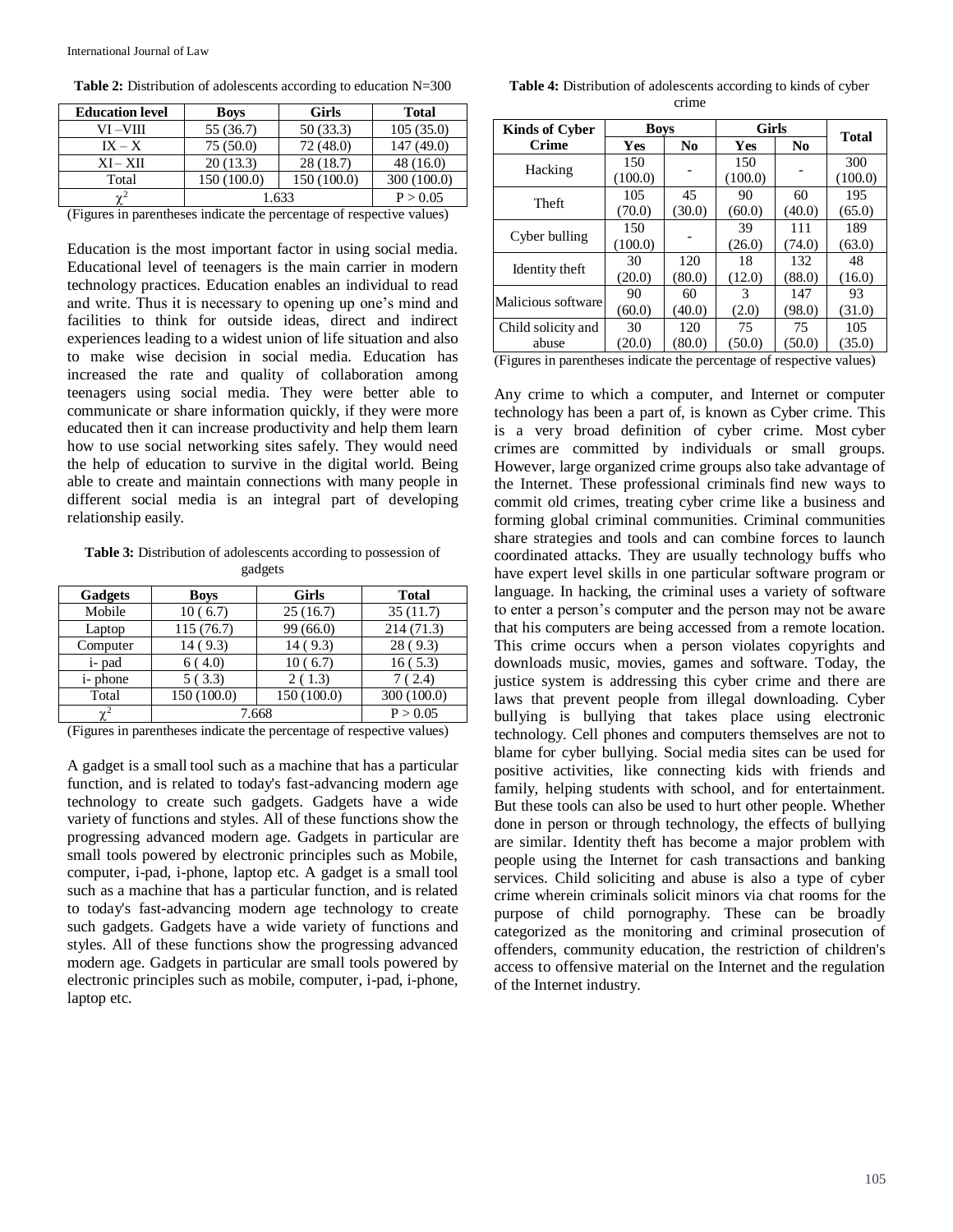| <b>Education level</b> | <b>Boys</b> | <b>Girls</b> | Total       |  |
|------------------------|-------------|--------------|-------------|--|
| VI –VIII               | 55 (36.7)   | 50 (33.3)    | 105(35.0)   |  |
| $IX - X$               | 75(50.0)    | 72 (48.0)    | 147 (49.0)  |  |
| $XI-XII$               | 20(13.3)    | 28(18.7)     | 48(16.0)    |  |
| Total                  | 150 (100.0) | 150 (100.0)  | 300 (100.0) |  |
| $\sim$ <sup>2</sup>    | .633        | P > 0.05     |             |  |

(Figures in parentheses indicate the percentage of respective values)

Education is the most important factor in using social media. Educational level of teenagers is the main carrier in modern technology practices. Education enables an individual to read and write. Thus it is necessary to opening up one's mind and facilities to think for outside ideas, direct and indirect experiences leading to a widest union of life situation and also to make wise decision in social media. Education has increased the rate and quality of collaboration among teenagers using social media. They were better able to communicate or share information quickly, if they were more educated then it can increase productivity and help them learn how to use social networking sites safely. They would need the help of education to survive in the digital world. Being able to create and maintain connections with many people in different social media is an integral part of developing relationship easily.

**Table 3:** Distribution of adolescents according to possession of gadgets

| Gadgets         | <b>Boys</b> | <b>Girls</b> | <b>Total</b> |
|-----------------|-------------|--------------|--------------|
| Mobile          | 10(6.7)     | 25(16.7)     | 35(11.7)     |
| Laptop          | 115 (76.7)  | 99 (66.0)    | 214(71.3)    |
| Computer        | 14(9.3)     | 14(9.3)      | 28(9.3)      |
| i- pad          | 6(4.0)      | 10(6.7)      | 16(5.3)      |
| <i>i</i> -phone | 5(3.3)      | 2(1.3)       | 7(2.4)       |
| Total           | 150 (100.0) | 150 (100.0)  | 300 (100.0)  |
| $\gamma^2$      | 7.668       |              | P > 0.05     |

(Figures in parentheses indicate the percentage of respective values)

A gadget is a small tool such as a machine that has a particular function, and is related to today's fast-advancing modern age technology to create such gadgets. Gadgets have a wide variety of functions and styles. All of these functions show the progressing advanced modern age. Gadgets in particular are small tools powered by electronic principles such as Mobile, computer, i-pad, i-phone, laptop etc. A gadget is a small tool such as a machine that has a particular function, and is related to today's fast-advancing modern age technology to create such gadgets. Gadgets have a wide variety of functions and styles. All of these functions show the progressing advanced modern age. Gadgets in particular are small tools powered by electronic principles such as mobile, computer, i-pad, i-phone, laptop etc.

**Table 4:** Distribution of adolescents according to kinds of cyber crime

| <b>Kinds of Cyber</b> | <b>Boys</b> |        | <b>Girls</b> | <b>Total</b> |         |
|-----------------------|-------------|--------|--------------|--------------|---------|
| <b>Crime</b>          | Yes         | No     | Yes          | No           |         |
| Hacking               | 150         |        | 150          |              | 300     |
|                       | (100.0)     |        | (100.0)      |              | (100.0) |
| <b>Theft</b>          | 105         | 45     | 90           | 60           | 195     |
|                       | (70.0)      | (30.0) | (60.0)       | (40.0)       | (65.0)  |
| Cyber bulling         | 150         |        | 39           | 111          | 189     |
|                       | (100.0)     |        | (26.0)       | (74.0)       | (63.0)  |
| Identity theft        | 30          | 120    | 18           | 132          | 48      |
|                       | (20.0)      | (80.0) | (12.0)       | (88.0)       | (16.0)  |
| Malicious software    | 90          | 60     | 3            | 147          | 93      |
|                       | (60.0)      | (40.0) | (2.0)        | (98.0)       | (31.0)  |
| Child solicity and    | 30          | 120    | 75           | 75           | 105     |
| abuse                 | (20.0)      | (80.0) | (50.0)       | (50.0)       | (35.0)  |

(Figures in parentheses indicate the percentage of respective values)

Any crime to which a computer, and Internet or computer technology has been a part of, is known as Cyber crime. This is a very broad definition of cyber crime. Most cyber crimes are committed by individuals or small groups. However, large organized crime groups also take advantage of the Internet. These professional criminals find new ways to commit old crimes, treating cyber crime like a business and forming global criminal communities. Criminal communities share strategies and tools and can combine forces to launch coordinated attacks. They are usually technology buffs who have expert level skills in one particular software program or language. In hacking, the criminal uses a variety of software to enter a person's computer and the person may not be aware that his computers are being accessed from a remote location. This crime occurs when a person violates copyrights and downloads music, movies, games and software. Today, the justice system is addressing this cyber crime and there are laws that prevent people from illegal downloading. Cyber bullying is bullying that takes place using electronic technology. Cell phones and computers themselves are not to blame for cyber bullying. Social media sites can be used for positive activities, like connecting kids with friends and family, helping students with school, and for entertainment. But these tools can also be used to hurt other people. Whether done in person or through technology, the effects of bullying are similar. Identity theft has become a major problem with people using the Internet for cash transactions and banking services. Child soliciting and abuse is also a type of cyber crime wherein criminals solicit minors via chat rooms for the purpose of child pornography. These can be broadly categorized as the monitoring and criminal prosecution of offenders, community education, the restriction of children's access to offensive material on the Internet and the regulation of the Internet industry.